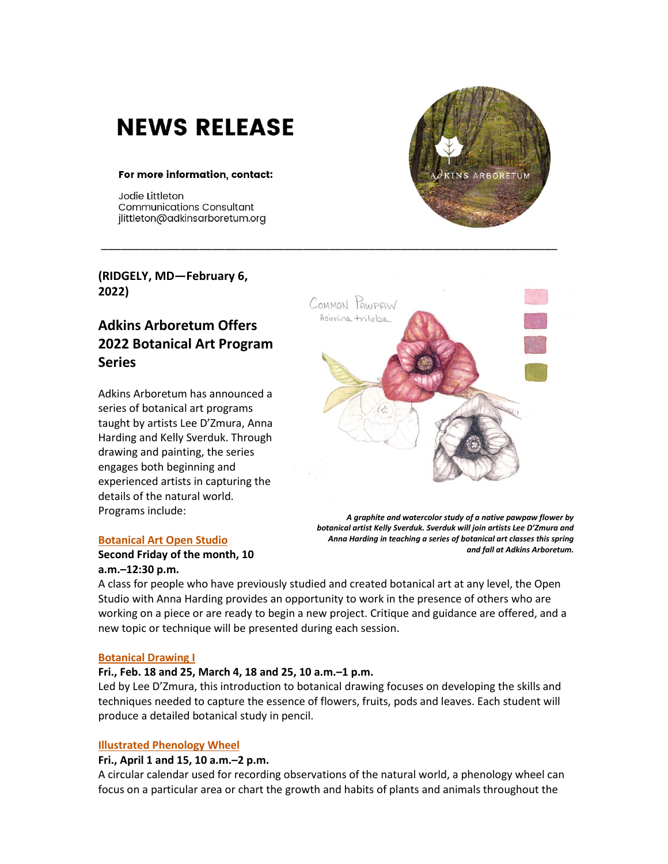# **NEWS RELEASE**

#### For more information, contact:

Jodie Littleton **Communications Consultant** jlittleton@adkinsarboretum.org

**(RIDGELY, MD—February 6, 2022)**

# **Adkins Arboretum Offers 2022 Botanical Art Program Series**

Adkins Arboretum has announced a series of botanical art programs taught by artists Lee D'Zmura, Anna Harding and Kelly Sverduk. Through drawing and painting, the series engages both beginning and experienced artists in capturing the details of the natural world. Programs include:



*A graphite and watercolor study of a native pawpaw flower by botanical artist Kelly Sverduk. Sverduk will join artists Lee D'Zmura and Anna Harding in teaching a series of botanical art classes this spring and fall at Adkins Arboretum.*

# **[Botanical Art Open Studio](https://adkins.donorshops.com/product/OPEN-STUDIO-2-11-22/open-botanical-art-studio-february-11)**

#### **Second Friday of the month, 10 a.m.–12:30 p.m.**

A class for people who have previously studied and created botanical art at any level, the Open Studio with Anna Harding provides an opportunity to work in the presence of others who are working on a piece or are ready to begin a new project. Critique and guidance are offered, and a new topic or technique will be presented during each session.

#### **[Botanical Drawing I](https://adkins.donorshops.com/product/BOT-DRAW-SPRING2022/botanical-drawing-i-winter-2022)**

# **Fri., Feb. 18 and 25, March 4, 18 and 25, 10 a.m.–1 p.m.**

Led by Lee D'Zmura, this introduction to botanical drawing focuses on developing the skills and techniques needed to capture the essence of flowers, fruits, pods and leaves. Each student will produce a detailed botanical study in pencil.

# **[Illustrated Phenology Wheel](https://adkins.donorshops.com/product/PHENO-WHEEL-APRIL2022/illustrated-phenology-wheel-april-1-15)**

#### **Fri., April 1 and 15, 10 a.m.–2 p.m.**

A circular calendar used for recording observations of the natural world, a phenology wheel can focus on a particular area or chart the growth and habits of plants and animals throughout the